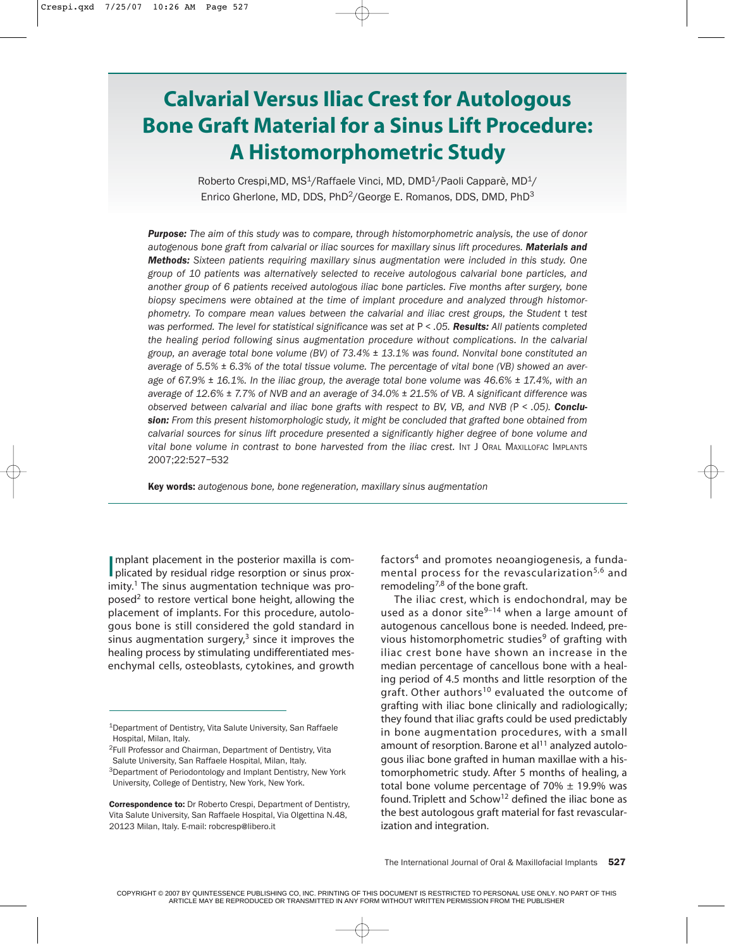# **Calvarial Versus Iliac Crest for Autologous Bone Graft Material for a Sinus Lift Procedure: A Histomorphometric Study**

Roberto Crespi, MD, MS<sup>1</sup>/Raffaele Vinci, MD, DMD<sup>1</sup>/Paoli Capparè, MD<sup>1</sup>/ Enrico Gherlone, MD, DDS, PhD<sup>2</sup>/George E. Romanos, DDS, DMD, PhD<sup>3</sup>

*Purpose: The aim of this study was to compare, through histomorphometric analysis, the use of donor autogenous bone graft from calvarial or iliac sources for maxillary sinus lift procedures. Materials and Methods: Sixteen patients requiring maxillary sinus augmentation were included in this study. One group of 10 patients was alternatively selected to receive autologous calvarial bone particles, and another group of 6 patients received autologous iliac bone particles. Five months after surgery, bone biopsy specimens were obtained at the time of implant procedure and analyzed through histomorphometry. To compare mean values between the calvarial and iliac crest groups, the Student* t *test was performed. The level for statistical significance was set at* P *< .05. Results: All patients completed the healing period following sinus augmentation procedure without complications. In the calvarial group, an average total bone volume (BV) of 73.4% ± 13.1% was found. Nonvital bone constituted an average of 5.5% ± 6.3% of the total tissue volume. The percentage of vital bone (VB) showed an average of 67.9% ± 16.1%. In the iliac group, the average total bone volume was 46.6% ± 17.4%, with an average of 12.6% ± 7.7% of NVB and an average of 34.0% ± 21.5% of VB. A significant difference was observed between calvarial and iliac bone grafts with respect to BV, VB, and NVB (*P *< .05). Conclusion: From this present histomorphologic study, it might be concluded that grafted bone obtained from calvarial sources for sinus lift procedure presented a significantly higher degree of bone volume and vital bone volume in contrast to bone harvested from the iliac crest.* INT J ORAL MAXILLOFAC IMPLANTS 2007;22:527–532

Key words: *autogenous bone, bone regeneration, maxillary sinus augmentation*

Implant placement in the posterior maxilla is complicated by residual ridge resorption or sinus proxmplant placement in the posterior maxilla is com $imity<sup>1</sup>$ . The sinus augmentation technique was proposed<sup>2</sup> to restore vertical bone height, allowing the placement of implants. For this procedure, autologous bone is still considered the gold standard in sinus augmentation surgery, $3$  since it improves the healing process by stimulating undifferentiated mesenchymal cells, osteoblasts, cytokines, and growth

2Full Professor and Chairman, Department of Dentistry, Vita Salute University, San Raffaele Hospital, Milan, Italy. <sup>3</sup>Department of Periodontology and Implant Dentistry, New York University, College of Dentistry, New York, New York.

factors4 and promotes neoangiogenesis, a fundamental process for the revascularization<sup>5,6</sup> and remodeling<sup>7,8</sup> of the bone graft.

The iliac crest, which is endochondral, may be used as a donor site $9-14$  when a large amount of autogenous cancellous bone is needed. Indeed, previous histomorphometric studies<sup>9</sup> of grafting with iliac crest bone have shown an increase in the median percentage of cancellous bone with a healing period of 4.5 months and little resorption of the graft. Other authors<sup>10</sup> evaluated the outcome of grafting with iliac bone clinically and radiologically; they found that iliac grafts could be used predictably in bone augmentation procedures, with a small amount of resorption. Barone et al<sup>11</sup> analyzed autologous iliac bone grafted in human maxillae with a histomorphometric study. After 5 months of healing, a total bone volume percentage of  $70\% \pm 19.9\%$  was found. Triplett and  $Schow<sup>12</sup>$  defined the iliac bone as the best autologous graft material for fast revascularization and integration.

<sup>1</sup>Department of Dentistry, Vita Salute University, San Raffaele Hospital, Milan, Italy.

Correspondence to: Dr Roberto Crespi, Department of Dentistry, Vita Salute University, San Raffaele Hospital, Via Olgettina N.48, 20123 Milan, Italy. E-mail: robcresp@libero.it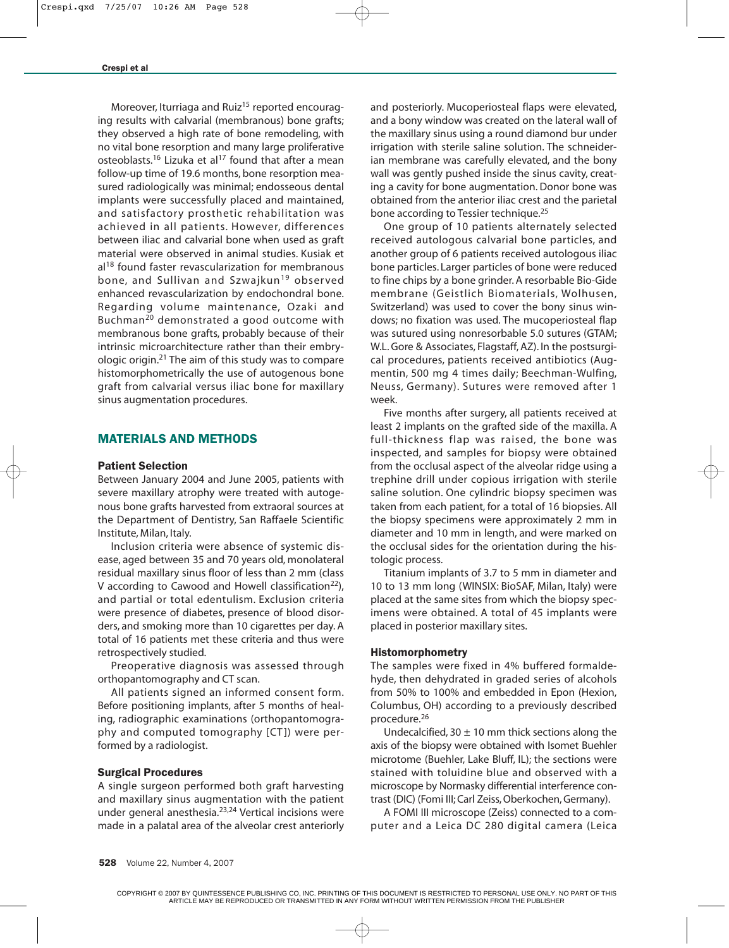Moreover, Iturriaga and Ruiz<sup>15</sup> reported encouraging results with calvarial (membranous) bone grafts; they observed a high rate of bone remodeling, with no vital bone resorption and many large proliferative osteoblasts.<sup>16</sup> Lizuka et al<sup>17</sup> found that after a mean follow-up time of 19.6 months, bone resorption measured radiologically was minimal; endosseous dental implants were successfully placed and maintained, and satisfactory prosthetic rehabilitation was achieved in all patients. However, differences between iliac and calvarial bone when used as graft material were observed in animal studies. Kusiak et  $al^{18}$  found faster revascularization for membranous bone, and Sullivan and Szwajkun<sup>19</sup> observed enhanced revascularization by endochondral bone. Regarding volume maintenance, Ozaki and Buchman20 demonstrated a good outcome with membranous bone grafts, probably because of their intrinsic microarchitecture rather than their embryologic origin.21 The aim of this study was to compare histomorphometrically the use of autogenous bone graft from calvarial versus iliac bone for maxillary sinus augmentation procedures.

# MATERIALS AND METHODS

### Patient Selection

Between January 2004 and June 2005, patients with severe maxillary atrophy were treated with autogenous bone grafts harvested from extraoral sources at the Department of Dentistry, San Raffaele Scientific Institute, Milan, Italy.

Inclusion criteria were absence of systemic disease, aged between 35 and 70 years old, monolateral residual maxillary sinus floor of less than 2 mm (class V according to Cawood and Howell classification<sup>22</sup>), and partial or total edentulism. Exclusion criteria were presence of diabetes, presence of blood disorders, and smoking more than 10 cigarettes per day. A total of 16 patients met these criteria and thus were retrospectively studied.

Preoperative diagnosis was assessed through orthopantomography and CT scan.

All patients signed an informed consent form. Before positioning implants, after 5 months of healing, radiographic examinations (orthopantomography and computed tomography [CT]) were performed by a radiologist.

## Surgical Procedures

A single surgeon performed both graft harvesting and maxillary sinus augmentation with the patient under general anesthesia.<sup>23,24</sup> Vertical incisions were made in a palatal area of the alveolar crest anteriorly and posteriorly. Mucoperiosteal flaps were elevated, and a bony window was created on the lateral wall of the maxillary sinus using a round diamond bur under irrigation with sterile saline solution. The schneiderian membrane was carefully elevated, and the bony wall was gently pushed inside the sinus cavity, creating a cavity for bone augmentation. Donor bone was obtained from the anterior iliac crest and the parietal bone according to Tessier technique.<sup>25</sup>

One group of 10 patients alternately selected received autologous calvarial bone particles, and another group of 6 patients received autologous iliac bone particles. Larger particles of bone were reduced to fine chips by a bone grinder. A resorbable Bio-Gide membrane (Geistlich Biomaterials, Wolhusen, Switzerland) was used to cover the bony sinus windows; no fixation was used. The mucoperiosteal flap was sutured using nonresorbable 5.0 sutures (GTAM; W.L. Gore & Associates, Flagstaff, AZ). In the postsurgical procedures, patients received antibiotics (Augmentin, 500 mg 4 times daily; Beechman-Wulfing, Neuss, Germany). Sutures were removed after 1 week.

Five months after surgery, all patients received at least 2 implants on the grafted side of the maxilla. A full-thickness flap was raised, the bone was inspected, and samples for biopsy were obtained from the occlusal aspect of the alveolar ridge using a trephine drill under copious irrigation with sterile saline solution. One cylindric biopsy specimen was taken from each patient, for a total of 16 biopsies. All the biopsy specimens were approximately 2 mm in diameter and 10 mm in length, and were marked on the occlusal sides for the orientation during the histologic process.

Titanium implants of 3.7 to 5 mm in diameter and 10 to 13 mm long (WINSIX: BioSAF, Milan, Italy) were placed at the same sites from which the biopsy specimens were obtained. A total of 45 implants were placed in posterior maxillary sites.

## Histomorphometry

The samples were fixed in 4% buffered formaldehyde, then dehydrated in graded series of alcohols from 50% to 100% and embedded in Epon (Hexion, Columbus, OH) according to a previously described procedure.<sup>26</sup>

Undecalcified, 30  $\pm$  10 mm thick sections along the axis of the biopsy were obtained with Isomet Buehler microtome (Buehler, Lake Bluff, IL); the sections were stained with toluidine blue and observed with a microscope by Normasky differential interference contrast (DIC) (Fomi III; Carl Zeiss, Oberkochen, Germany).

A FOMI III microscope (Zeiss) connected to a computer and a Leica DC 280 digital camera (Leica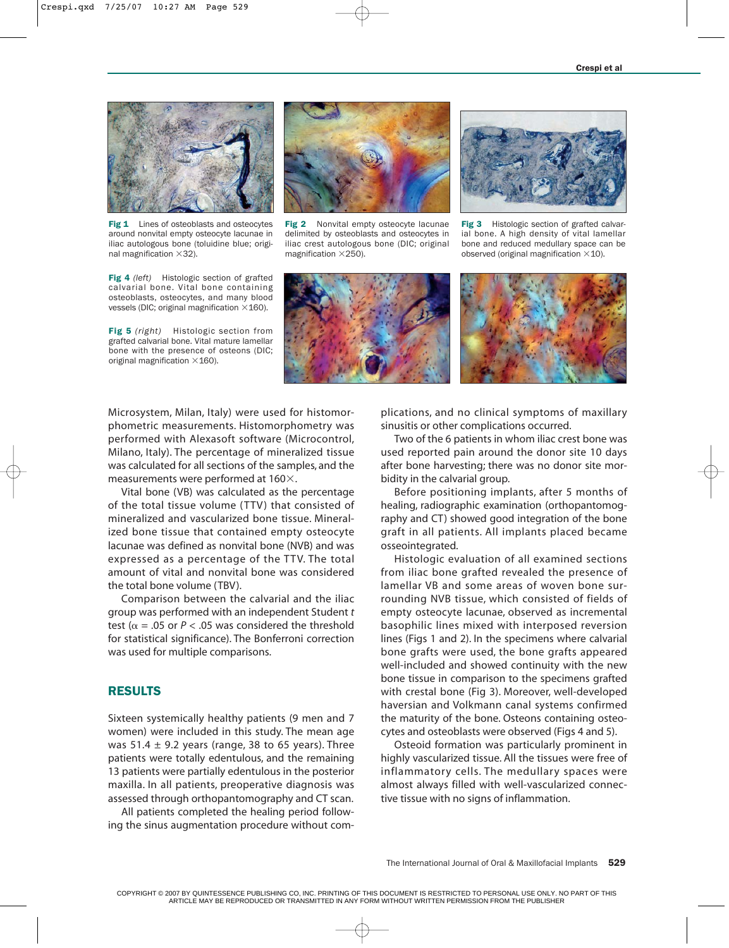

Fig 1 Lines of osteoblasts and osteocytes around nonvital empty osteocyte lacunae in iliac autologous bone (toluidine blue; original magnification  $\times$ 32).

Fig 4 *(left)* Histologic section of grafted calvarial bone. Vital bone containing osteoblasts, osteocytes, and many blood vessels (DIC; original magnification  $\times$  160).

Fig 5 *(right)* Histologic section from grafted calvarial bone. Vital mature lamellar bone with the presence of osteons (DIC; original magnification  $\times$  160).



Fig 2 Nonvital empty osteocyte lacunae delimited by osteoblasts and osteocytes in iliac crest autologous bone (DIC; original magnification  $\times$ 250).



Fig 3 Histologic section of grafted calvarial bone. A high density of vital lamellar bone and reduced medullary space can be observed (original magnification  $\times$  10).



Microsystem, Milan, Italy) were used for histomorphometric measurements. Histomorphometry was performed with Alexasoft software (Microcontrol, Milano, Italy). The percentage of mineralized tissue was calculated for all sections of the samples, and the measurements were performed at  $160\times$ .

Vital bone (VB) was calculated as the percentage of the total tissue volume (TTV) that consisted of mineralized and vascularized bone tissue. Mineralized bone tissue that contained empty osteocyte lacunae was defined as nonvital bone (NVB) and was expressed as a percentage of the TTV. The total amount of vital and nonvital bone was considered the total bone volume (TBV).

Comparison between the calvarial and the iliac group was performed with an independent Student *t* test ( $\alpha$  = .05 or  $P <$  .05 was considered the threshold for statistical significance). The Bonferroni correction was used for multiple comparisons.

## RESULTS

Sixteen systemically healthy patients (9 men and 7 women) were included in this study. The mean age was 51.4  $\pm$  9.2 years (range, 38 to 65 years). Three patients were totally edentulous, and the remaining 13 patients were partially edentulous in the posterior maxilla. In all patients, preoperative diagnosis was assessed through orthopantomography and CT scan.

All patients completed the healing period following the sinus augmentation procedure without complications, and no clinical symptoms of maxillary sinusitis or other complications occurred.

Two of the 6 patients in whom iliac crest bone was used reported pain around the donor site 10 days after bone harvesting; there was no donor site morbidity in the calvarial group.

Before positioning implants, after 5 months of healing, radiographic examination (orthopantomography and CT) showed good integration of the bone graft in all patients. All implants placed became osseointegrated.

Histologic evaluation of all examined sections from iliac bone grafted revealed the presence of lamellar VB and some areas of woven bone surrounding NVB tissue, which consisted of fields of empty osteocyte lacunae, observed as incremental basophilic lines mixed with interposed reversion lines (Figs 1 and 2). In the specimens where calvarial bone grafts were used, the bone grafts appeared well-included and showed continuity with the new bone tissue in comparison to the specimens grafted with crestal bone (Fig 3). Moreover, well-developed haversian and Volkmann canal systems confirmed the maturity of the bone. Osteons containing osteocytes and osteoblasts were observed (Figs 4 and 5).

Osteoid formation was particularly prominent in highly vascularized tissue. All the tissues were free of inflammatory cells. The medullary spaces were almost always filled with well-vascularized connective tissue with no signs of inflammation.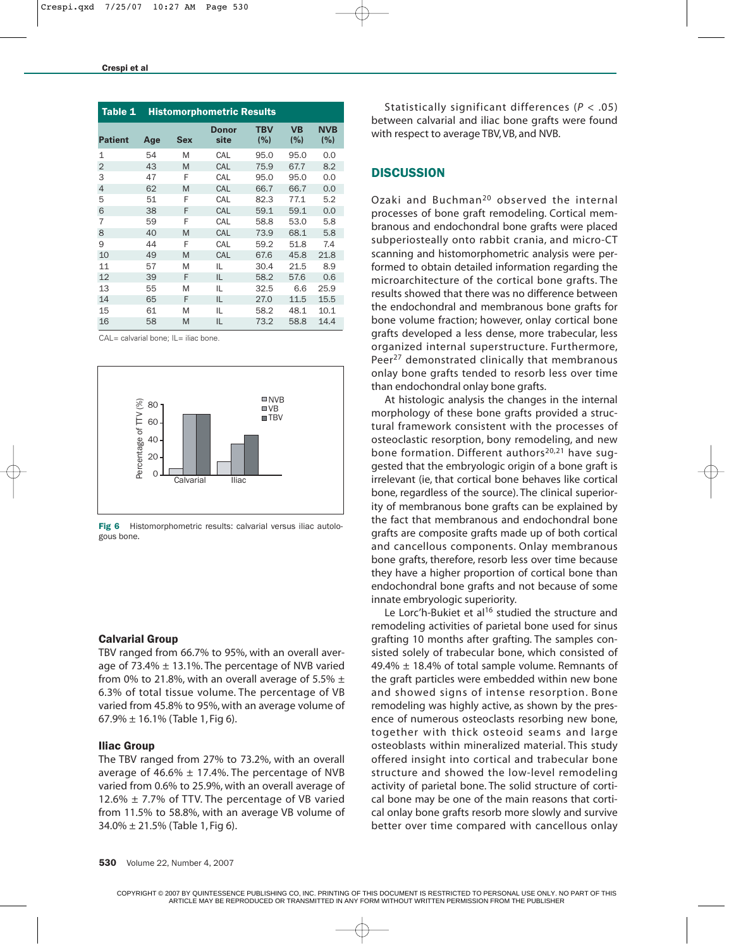| Table 1        | <b>Histomorphometric Results</b> |     |                      |                   |                  |                   |
|----------------|----------------------------------|-----|----------------------|-------------------|------------------|-------------------|
| <b>Patient</b> | Age                              | Sex | <b>Donor</b><br>site | <b>TBV</b><br>(%) | <b>VB</b><br>(%) | <b>NVB</b><br>(%) |
| $\mathbf{1}$   | 54                               | M   | CAL                  | 95.0              | 95.0             | 0.0               |
| $\overline{2}$ | 43                               | M   | CAL                  | 75.9              | 67.7             | 8.2               |
| 3              | 47                               | F   | CAL                  | 95.0              | 95.0             | 0.0               |
| $\overline{4}$ | 62                               | M   | CAL                  | 66.7              | 66.7             | 0.0               |
| 5              | 51                               | F   | CAL                  | 82.3              | 77.1             | 5.2               |
| 6              | 38                               | F   | CAL                  | 59.1              | 59.1             | 0.0               |
| 7              | 59                               | F   | CAL                  | 58.8              | 53.0             | 5.8               |
| 8              | 40                               | M   | CAL                  | 73.9              | 68.1             | 5.8               |
| 9              | 44                               | F   | CAL                  | 59.2              | 51.8             | 7.4               |
| 10             | 49                               | M   | CAL                  | 67.6              | 45.8             | 21.8              |
| 11             | 57                               | M   | IL                   | 30.4              | 21.5             | 8.9               |
| 12             | 39                               | F   | IL                   | 58.2              | 57.6             | 0.6               |
| 13             | 55                               | M   | IL                   | 32.5              | 6.6              | 25.9              |
| 14             | 65                               | F   | IL                   | 27.0              | 11.5             | 15.5              |
| 15             | 61                               | M   | IL                   | 58.2              | 48.1             | 10.1              |
| 16             | 58                               | M   | IL                   | 73.2              | 58.8             | 14.4              |

CAL= calvarial bone; IL= iliac bone.



Fig 6 Histomorphometric results: calvarial versus iliac autologous bone.

#### Calvarial Group

TBV ranged from 66.7% to 95%, with an overall average of  $73.4\% \pm 13.1\%$ . The percentage of NVB varied from 0% to 21.8%, with an overall average of 5.5%  $\pm$ 6.3% of total tissue volume. The percentage of VB varied from 45.8% to 95%, with an average volume of  $67.9\% \pm 16.1\%$  (Table 1, Fig 6).

### Iliac Group

The TBV ranged from 27% to 73.2%, with an overall average of 46.6%  $\pm$  17.4%. The percentage of NVB varied from 0.6% to 25.9%, with an overall average of 12.6%  $\pm$  7.7% of TTV. The percentage of VB varied from 11.5% to 58.8%, with an average VB volume of  $34.0\% \pm 21.5\%$  (Table 1, Fig 6).

Statistically significant differences (*P* < .05) between calvarial and iliac bone grafts were found with respect to average TBV, VB, and NVB.

# **DISCUSSION**

Ozaki and Buchman<sup>20</sup> observed the internal processes of bone graft remodeling. Cortical membranous and endochondral bone grafts were placed subperiosteally onto rabbit crania, and micro-CT scanning and histomorphometric analysis were performed to obtain detailed information regarding the microarchitecture of the cortical bone grafts. The results showed that there was no difference between the endochondral and membranous bone grafts for bone volume fraction; however, onlay cortical bone grafts developed a less dense, more trabecular, less organized internal superstructure. Furthermore, Peer<sup>27</sup> demonstrated clinically that membranous onlay bone grafts tended to resorb less over time than endochondral onlay bone grafts.

At histologic analysis the changes in the internal morphology of these bone grafts provided a structural framework consistent with the processes of osteoclastic resorption, bony remodeling, and new bone formation. Different authors<sup>20,21</sup> have suggested that the embryologic origin of a bone graft is irrelevant (ie, that cortical bone behaves like cortical bone, regardless of the source). The clinical superiority of membranous bone grafts can be explained by the fact that membranous and endochondral bone grafts are composite grafts made up of both cortical and cancellous components. Onlay membranous bone grafts, therefore, resorb less over time because they have a higher proportion of cortical bone than endochondral bone grafts and not because of some innate embryologic superiority.

Le Lorc'h-Bukiet et al<sup>16</sup> studied the structure and remodeling activities of parietal bone used for sinus grafting 10 months after grafting. The samples consisted solely of trabecular bone, which consisted of  $49.4\% \pm 18.4\%$  of total sample volume. Remnants of the graft particles were embedded within new bone and showed signs of intense resorption. Bone remodeling was highly active, as shown by the presence of numerous osteoclasts resorbing new bone, together with thick osteoid seams and large osteoblasts within mineralized material. This study offered insight into cortical and trabecular bone structure and showed the low-level remodeling activity of parietal bone. The solid structure of cortical bone may be one of the main reasons that cortical onlay bone grafts resorb more slowly and survive better over time compared with cancellous onlay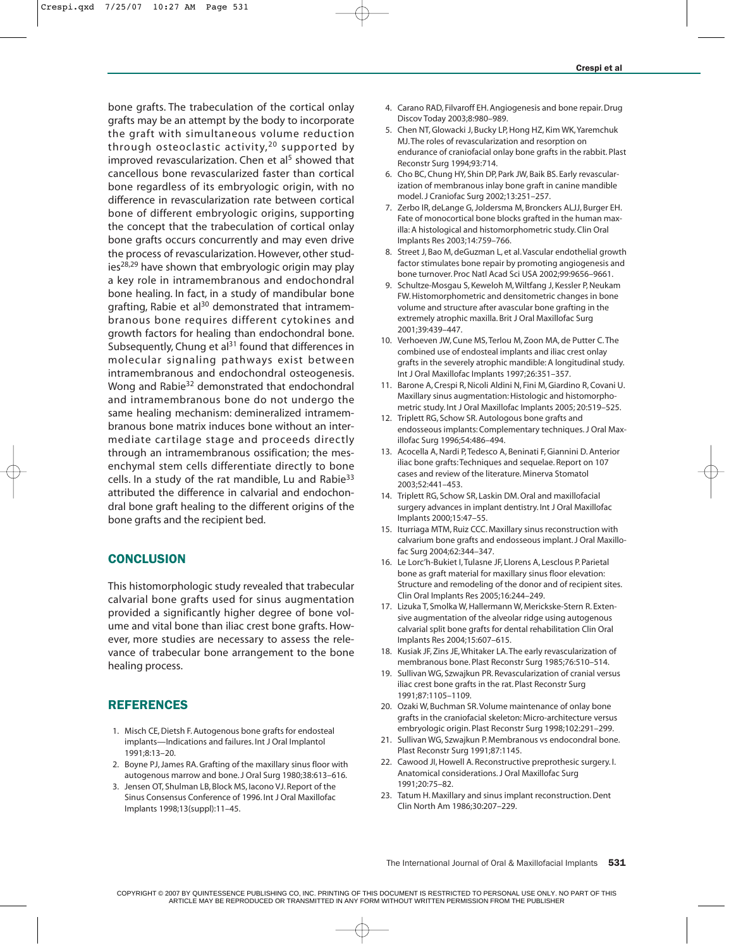bone grafts. The trabeculation of the cortical onlay grafts may be an attempt by the body to incorporate the graft with simultaneous volume reduction through osteoclastic activity,  $20$  supported by improved revascularization. Chen et al<sup>5</sup> showed that cancellous bone revascularized faster than cortical bone regardless of its embryologic origin, with no difference in revascularization rate between cortical bone of different embryologic origins, supporting the concept that the trabeculation of cortical onlay bone grafts occurs concurrently and may even drive the process of revascularization. However, other studies $28,29$  have shown that embryologic origin may play a key role in intramembranous and endochondral bone healing. In fact, in a study of mandibular bone grafting, Rabie et al<sup>30</sup> demonstrated that intramembranous bone requires different cytokines and growth factors for healing than endochondral bone. Subsequently, Chung et al<sup>31</sup> found that differences in molecular signaling pathways exist between intramembranous and endochondral osteogenesis. Wong and Rabie<sup>32</sup> demonstrated that endochondral and intramembranous bone do not undergo the same healing mechanism: demineralized intramembranous bone matrix induces bone without an intermediate cartilage stage and proceeds directly through an intramembranous ossification; the mesenchymal stem cells differentiate directly to bone cells. In a study of the rat mandible, Lu and Rabie<sup>33</sup> attributed the difference in calvarial and endochondral bone graft healing to the different origins of the bone grafts and the recipient bed.

## **CONCLUSION**

This histomorphologic study revealed that trabecular calvarial bone grafts used for sinus augmentation provided a significantly higher degree of bone volume and vital bone than iliac crest bone grafts. However, more studies are necessary to assess the relevance of trabecular bone arrangement to the bone healing process.

## REFERENCES

- 1. Misch CE, Dietsh F. Autogenous bone grafts for endosteal implants—Indications and failures. Int J Oral Implantol 1991;8:13–20.
- 2. Boyne PJ, James RA. Grafting of the maxillary sinus floor with autogenous marrow and bone. J Oral Surg 1980;38:613–616.
- 3. Jensen OT, Shulman LB, Block MS, Iacono VJ. Report of the Sinus Consensus Conference of 1996. Int J Oral Maxillofac Implants 1998;13(suppl):11–45.
- 4. Carano RAD, Filvaroff EH. Angiogenesis and bone repair. Drug Discov Today 2003;8:980–989.
- 5. Chen NT, Glowacki J, Bucky LP, Hong HZ, Kim WK,Yaremchuk MJ.The roles of revascularization and resorption on endurance of craniofacial onlay bone grafts in the rabbit. Plast Reconstr Surg 1994;93:714.
- 6. Cho BC, Chung HY, Shin DP, Park JW, Baik BS. Early revascularization of membranous inlay bone graft in canine mandible model. J Craniofac Surg 2002;13:251–257.
- 7. Zerbo IR, deLange G, Joldersma M, Bronckers ALJJ, Burger EH. Fate of monocortical bone blocks grafted in the human maxilla: A histological and histomorphometric study. Clin Oral Implants Res 2003;14:759–766.
- 8. Street J, Bao M, deGuzman L, et al. Vascular endothelial growth factor stimulates bone repair by promoting angiogenesis and bone turnover. Proc Natl Acad Sci USA 2002;99:9656–9661.
- 9. Schultze-Mosgau S, Keweloh M, Wiltfang J, Kessler P, Neukam FW. Histomorphometric and densitometric changes in bone volume and structure after avascular bone grafting in the extremely atrophic maxilla. Brit J Oral Maxillofac Surg 2001;39:439–447.
- 10. Verhoeven JW, Cune MS, Terlou M, Zoon MA, de Putter C.The combined use of endosteal implants and iliac crest onlay grafts in the severely atrophic mandible: A longitudinal study. Int J Oral Maxillofac Implants 1997;26:351–357.
- 11. Barone A, Crespi R, Nicoli Aldini N, Fini M, Giardino R, Covani U. Maxillary sinus augmentation: Histologic and histomorphometric study. Int J Oral Maxillofac Implants 2005; 20:519–525.
- 12. Triplett RG, Schow SR. Autologous bone grafts and endosseous implants: Complementary techniques. J Oral Maxillofac Surg 1996;54:486–494.
- 13. Acocella A, Nardi P, Tedesco A, Beninati F, Giannini D. Anterior iliac bone grafts: Techniques and sequelae. Report on 107 cases and review of the literature. Minerva Stomatol 2003;52:441–453.
- 14. Triplett RG, Schow SR, Laskin DM. Oral and maxillofacial surgery advances in implant dentistry. Int J Oral Maxillofac Implants 2000;15:47–55.
- 15. Iturriaga MTM, Ruiz CCC. Maxillary sinus reconstruction with calvarium bone grafts and endosseous implant. J Oral Maxillofac Surg 2004;62:344–347.
- 16. Le Lorc'h-Bukiet I, Tulasne JF, Llorens A, Lesclous P. Parietal bone as graft material for maxillary sinus floor elevation: Structure and remodeling of the donor and of recipient sites. Clin Oral Implants Res 2005;16:244–249.
- 17. Lizuka T, Smolka W, Hallermann W, Merickske-Stern R. Extensive augmentation of the alveolar ridge using autogenous calvarial split bone grafts for dental rehabilitation Clin Oral Implants Res 2004;15:607–615.
- 18. Kusiak JF, Zins JE, Whitaker LA.The early revascularization of membranous bone. Plast Reconstr Surg 1985;76:510–514.
- 19. Sullivan WG, Szwajkun PR. Revascularization of cranial versus iliac crest bone grafts in the rat. Plast Reconstr Surg 1991;87:1105–1109.
- 20. Ozaki W, Buchman SR. Volume maintenance of onlay bone grafts in the craniofacial skeleton: Micro-architecture versus embryologic origin. Plast Reconstr Surg 1998;102:291–299.
- 21. Sullivan WG, Szwajkun P. Membranous vs endocondral bone. Plast Reconstr Surg 1991;87:1145.
- 22. Cawood JI, Howell A. Reconstructive preprothesic surgery. I. Anatomical considerations. J Oral Maxillofac Surg 1991;20:75–82.
- 23. Tatum H. Maxillary and sinus implant reconstruction. Dent Clin North Am 1986;30:207–229.